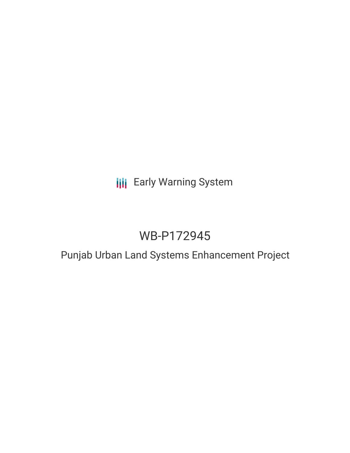## **III** Early Warning System

# WB-P172945

### Punjab Urban Land Systems Enhancement Project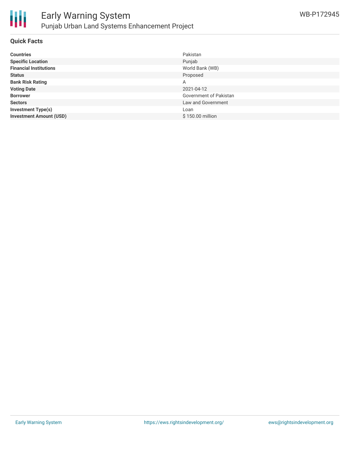

#### **Quick Facts**

| <b>Countries</b>               | Pakistan               |
|--------------------------------|------------------------|
| <b>Specific Location</b>       | Punjab                 |
| <b>Financial Institutions</b>  | World Bank (WB)        |
| <b>Status</b>                  | Proposed               |
| <b>Bank Risk Rating</b>        | Α                      |
| <b>Voting Date</b>             | 2021-04-12             |
| <b>Borrower</b>                | Government of Pakistan |
| <b>Sectors</b>                 | Law and Government     |
| <b>Investment Type(s)</b>      | Loan                   |
| <b>Investment Amount (USD)</b> | \$150.00 million       |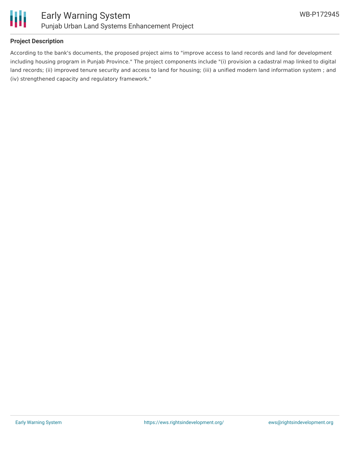

#### **Project Description**

According to the bank's documents, the proposed project aims to "improve access to land records and land for development including housing program in Punjab Province." The project components include "(i) provision a cadastral map linked to digital land records; (ii) improved tenure security and access to land for housing; (iii) a unified modern land information system ; and (iv) strengthened capacity and regulatory framework."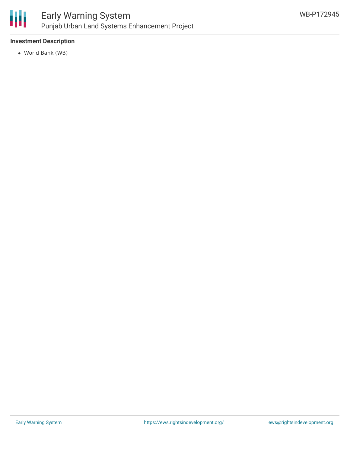

#### **Investment Description**

World Bank (WB)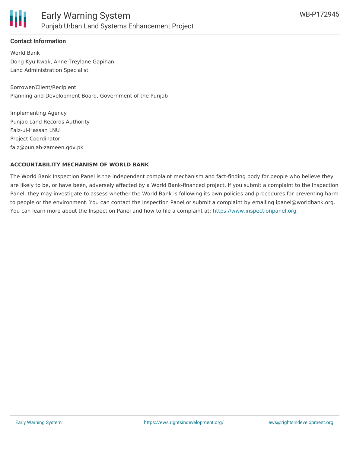

#### **Contact Information**

World Bank Dong Kyu Kwak, Anne Treylane Gapihan Land Administration Specialist

Borrower/Client/Recipient Planning and Development Board, Government of the Punjab

Implementing Agency Punjab Land Records Authority Faiz-ul-Hassan LNU Project Coordinator faiz@punjab-zameen.gov.pk

#### **ACCOUNTABILITY MECHANISM OF WORLD BANK**

The World Bank Inspection Panel is the independent complaint mechanism and fact-finding body for people who believe they are likely to be, or have been, adversely affected by a World Bank-financed project. If you submit a complaint to the Inspection Panel, they may investigate to assess whether the World Bank is following its own policies and procedures for preventing harm to people or the environment. You can contact the Inspection Panel or submit a complaint by emailing ipanel@worldbank.org. You can learn more about the Inspection Panel and how to file a complaint at: <https://www.inspectionpanel.org>.